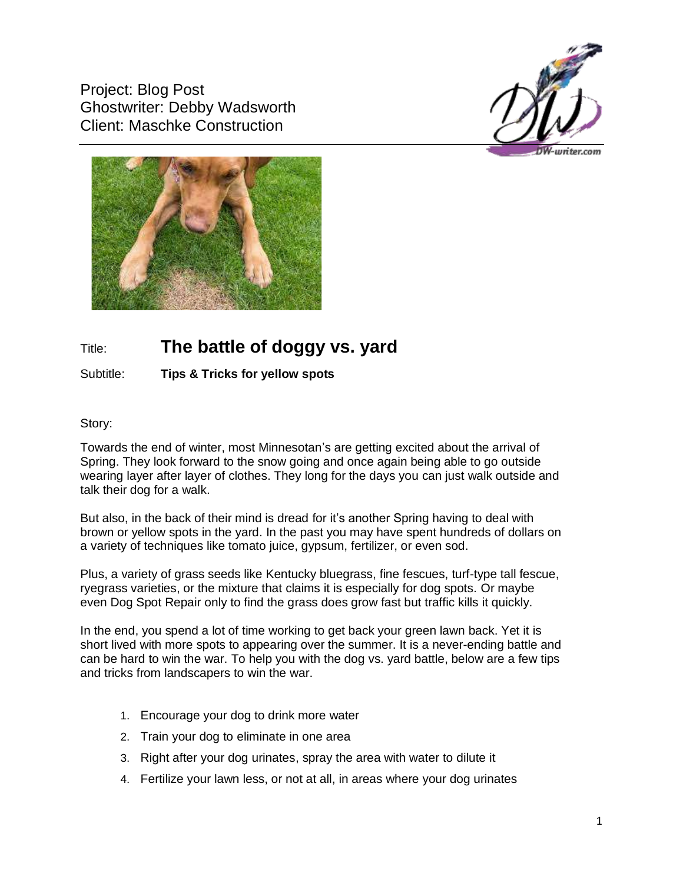Project: Blog Post Ghostwriter: Debby Wadsworth Client: Maschke Construction





## Title: **The battle of doggy vs. yard**

## Subtitle: **Tips & Tricks for yellow spots**

## Story:

Towards the end of winter, most Minnesotan's are getting excited about the arrival of Spring. They look forward to the snow going and once again being able to go outside wearing layer after layer of clothes. They long for the days you can just walk outside and talk their dog for a walk.

But also, in the back of their mind is dread for it's another Spring having to deal with brown or yellow spots in the yard. In the past you may have spent hundreds of dollars on a variety of techniques like tomato juice, gypsum, fertilizer, or even sod.

Plus, a variety of grass seeds like Kentucky bluegrass, fine fescues, turf-type tall fescue, ryegrass varieties, or the mixture that claims it is especially for dog spots. Or maybe even Dog Spot Repair only to find the grass does grow fast but traffic kills it quickly.

In the end, you spend a lot of time working to get back your green lawn back. Yet it is short lived with more spots to appearing over the summer. It is a never-ending battle and can be hard to win the war. To help you with the dog vs. yard battle, below are a few tips and tricks from landscapers to win the war.

- 1. Encourage your dog to drink more water
- 2. Train your dog to eliminate in one area
- 3. Right after your dog urinates, spray the area with water to dilute it
- 4. Fertilize your lawn less, or not at all, in areas where your dog urinates